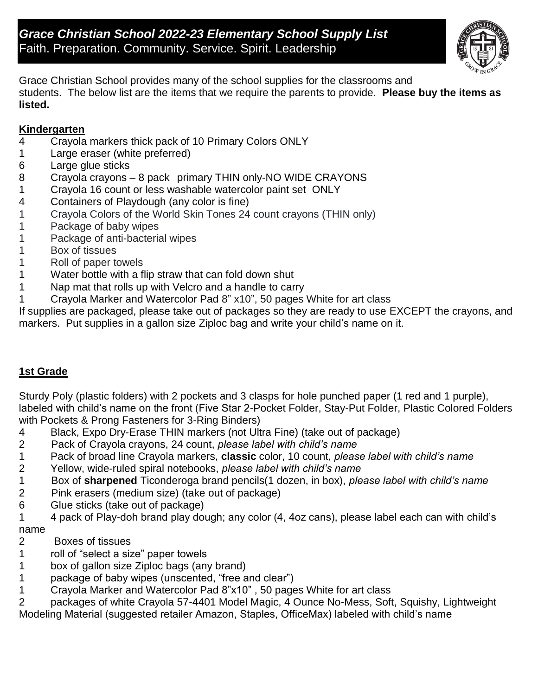

Grace Christian School provides many of the school supplies for the classrooms and students. The below list are the items that we require the parents to provide. **Please buy the items as listed.**

# **Kindergarten**

- 4 Crayola markers thick pack of 10 Primary Colors ONLY
- 1 Large eraser (white preferred)
- 6 Large glue sticks
- 8 Crayola crayons 8 pack primary THIN only-NO WIDE CRAYONS
- 1 Crayola 16 count or less washable watercolor paint set ONLY
- 4 Containers of Playdough (any color is fine)
- 1 Crayola Colors of the World Skin Tones 24 count crayons (THIN only)
- 1 Package of baby wipes
- 1 Package of anti-bacterial wipes
- 1 Box of tissues
- 1 Roll of paper towels
- 1 Water bottle with a flip straw that can fold down shut
- 1 Nap mat that rolls up with Velcro and a handle to carry
- 1 Crayola Marker and Watercolor Pad 8" x10", 50 pages White for art class

If supplies are packaged, please take out of packages so they are ready to use EXCEPT the crayons, and markers. Put supplies in a gallon size Ziploc bag and write your child's name on it.

## **1st Grade**

2 Sturdy Poly (plastic folders) with 2 pockets and 3 clasps for hole punched paper (1 red and 1 purple), labeled with child's name on the front (Five Star 2-Pocket Folder, Stay-Put Folder, Plastic Colored Folders with Pockets & Prong Fasteners for 3-Ring Binders)

- 4 Black, Expo Dry-Erase THIN markers (not Ultra Fine) (take out of package)
- 2 Pack of Crayola crayons, 24 count, *please label with child's name*
- 1 Pack of broad line Crayola markers, **classic** color, 10 count, *please label with child's name*
- 2 Yellow, wide-ruled spiral notebooks, *please label with child's name*
- 1 Box of **sharpened** Ticonderoga brand pencils(1 dozen, in box), *please label with child's name*
- 2 Pink erasers (medium size) (take out of package)
- 6 Glue sticks (take out of package)
- 1 4 pack of Play-doh brand play dough; any color (4, 4oz cans), please label each can with child's name
- 2 Boxes of tissues
- 1 roll of "select a size" paper towels
- 1 box of gallon size Ziploc bags (any brand)
- 1 package of baby wipes (unscented, "free and clear")
- 1 Crayola Marker and Watercolor Pad 8"x10" , 50 pages White for art class
- 2 packages of white Crayola 57-4401 Model Magic, 4 Ounce No-Mess, Soft, Squishy, Lightweight

Modeling Material (suggested retailer Amazon, Staples, OfficeMax) labeled with child's name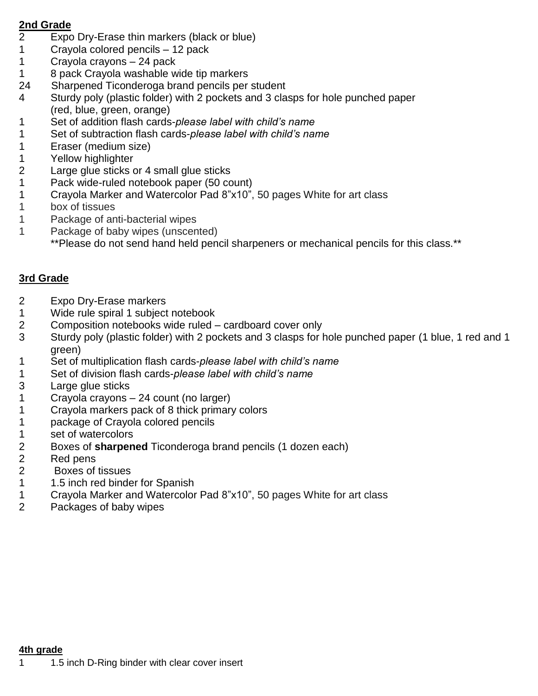#### **2nd Grade**

- Expo Dry-Erase thin markers (black or blue)
- Crayola colored pencils 12 pack
- Crayola crayons 24 pack
- 8 pack Crayola washable wide tip markers
- 24 Sharpened Ticonderoga brand pencils per student
- Sturdy poly (plastic folder) with 2 pockets and 3 clasps for hole punched paper (red, blue, green, orange)
- Set of addition flash cards-*please label with child's name*
- 1 Set of subtraction flash cards-*please label with child's name*
- Eraser (medium size)
- Yellow highlighter
- Large glue sticks or 4 small glue sticks
- Pack wide-ruled notebook paper (50 count)
- Crayola Marker and Watercolor Pad 8"x10", 50 pages White for art class
- box of tissues
- Package of anti-bacterial wipes
- Package of baby wipes (unscented)
	- \*\*Please do not send hand held pencil sharpeners or mechanical pencils for this class.\*\*

# **3rd Grade**

- Expo Dry-Erase markers
- Wide rule spiral 1 subject notebook
- Composition notebooks wide ruled cardboard cover only
- Sturdy poly (plastic folder) with 2 pockets and 3 clasps for hole punched paper (1 blue, 1 red and 1 green)
- Set of multiplication flash cards-*please label with child's name*
- 1 Set of division flash cards-*please label with child's name*
- Large glue sticks
- Crayola crayons 24 count (no larger)
- Crayola markers pack of 8 thick primary colors
- package of Crayola colored pencils
- 1 set of watercolors
- Boxes of **sharpened** Ticonderoga brand pencils (1 dozen each)
- Red pens
- 2 Boxes of tissues
- 1 1.5 inch red binder for Spanish
- Crayola Marker and Watercolor Pad 8"x10", 50 pages White for art class
- Packages of baby wipes

#### **4th grade**

1 1.5 inch D-Ring binder with clear cover insert